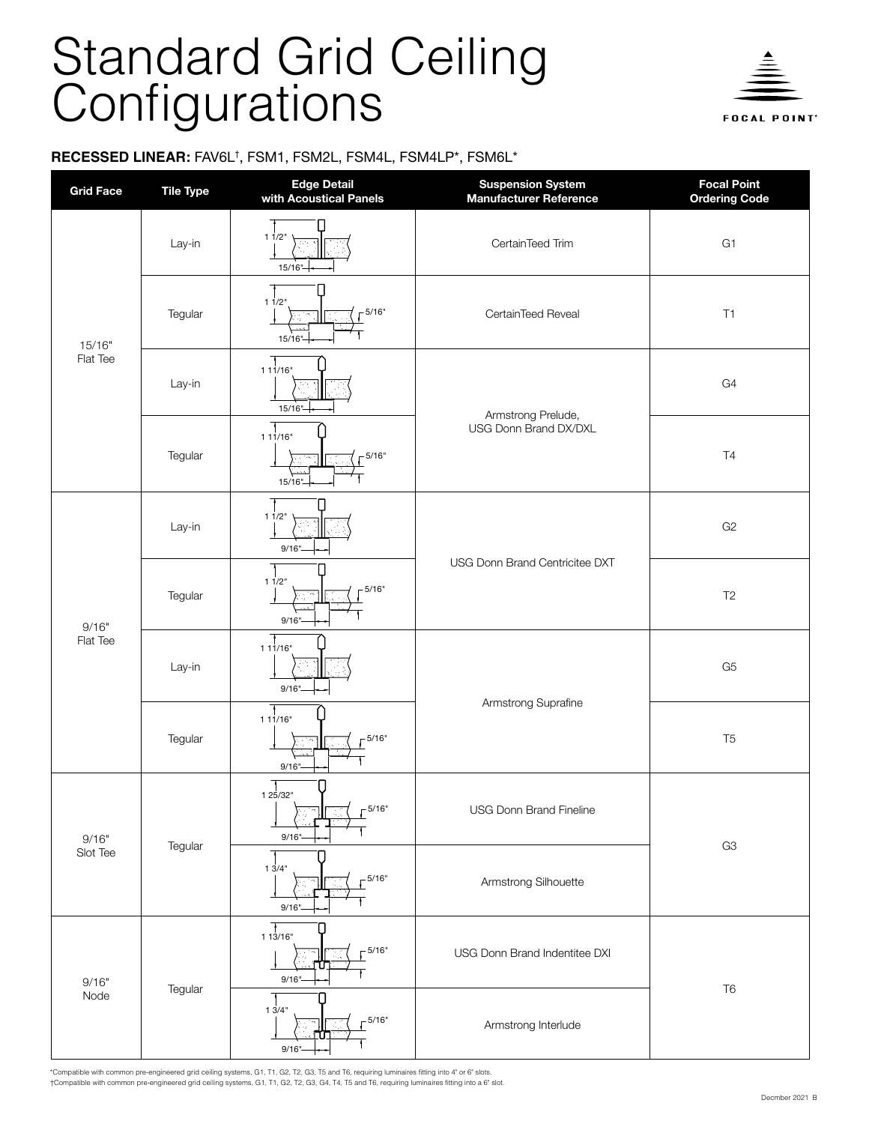## Standard Grid Ceiling Configurations



**FOCAL POINT**\*

## **RECESSED LINEAR:** FAV6L<sup>†</sup>, FSM1, FSM2L, FSM4L, FSM4LP\*, FSM6L\*

| <b>Grid Face</b>   | <b>Tile Type</b> | Edge Detail<br>with Acoustical Panels                          | <b>Suspension System</b><br>Manufacturer Reference | <b>Focal Point</b><br><b>Ordering Code</b> |  |
|--------------------|------------------|----------------------------------------------------------------|----------------------------------------------------|--------------------------------------------|--|
| 15/16"<br>Flat Tee | Lay-in           | 11/2"<br>15/16"                                                | CertainTeed Trim                                   | G <sub>1</sub>                             |  |
|                    | Tegular          | 11/2"<br>$-5/16"$<br>$15/16$ "                                 | CertainTeed Reveal                                 | T1                                         |  |
|                    | Lay-in           | 111/16"<br>$15/16$ <sup>"</sup>                                | Armstrong Prelude,                                 | G4                                         |  |
|                    | Tegular          | 111/16"<br>$-5/16"$<br>$15/16$ "                               | <b>USG Donn Brand DX/DXL</b>                       | T4                                         |  |
| 9/16"<br>Flat Tee  | Lay-in           | 11/2"<br>9/16"                                                 |                                                    | G <sub>2</sub>                             |  |
|                    | Tegular          | 11/2"<br>5/16"<br>9/16"                                        | USG Donn Brand Centricitee DXT                     | T <sub>2</sub>                             |  |
|                    | Lay-in           | 111/16"<br>$9/16$ "-                                           | Armstrong Suprafine                                | G <sub>5</sub>                             |  |
|                    | Tegular          | L<br>111/16"<br>$-5/16"$<br>9/16"                              |                                                    | T <sub>5</sub>                             |  |
| 9/16"<br>Slot Tee  | Tegular          | 125/32"<br>5/16"<br>$9/16$ "                                   | USG Donn Brand Fineline                            | G <sub>3</sub>                             |  |
|                    |                  | 13/4"<br>$-5/16"$<br>9/16"                                     | Armstrong Silhouette                               |                                            |  |
| 9/16"<br>Node      | Tegular          | 113/16"<br>$-5/16"$<br>ΓUΤ<br>9/16"                            | USG Donn Brand Indentitee DXI                      | T <sub>6</sub>                             |  |
|                    |                  | $\mathsf{I}$<br>$1 \frac{1}{3}/4$ "<br>$-5/16"$<br>πг<br>9/16" | Armstrong Interlude                                |                                            |  |

\*Compatible with common pre-engineered grid ceiling systems, G1, T1, G2, T2, G3, T5 and T6, requiring luminaires fitting into 4" or 6" slots. †Compatible with common pre-engineered grid ceiling systems, G1, T1, G2, T2, G3, G4, T4, T5 and T6, requiring luminaires fitting into a 6" slot.